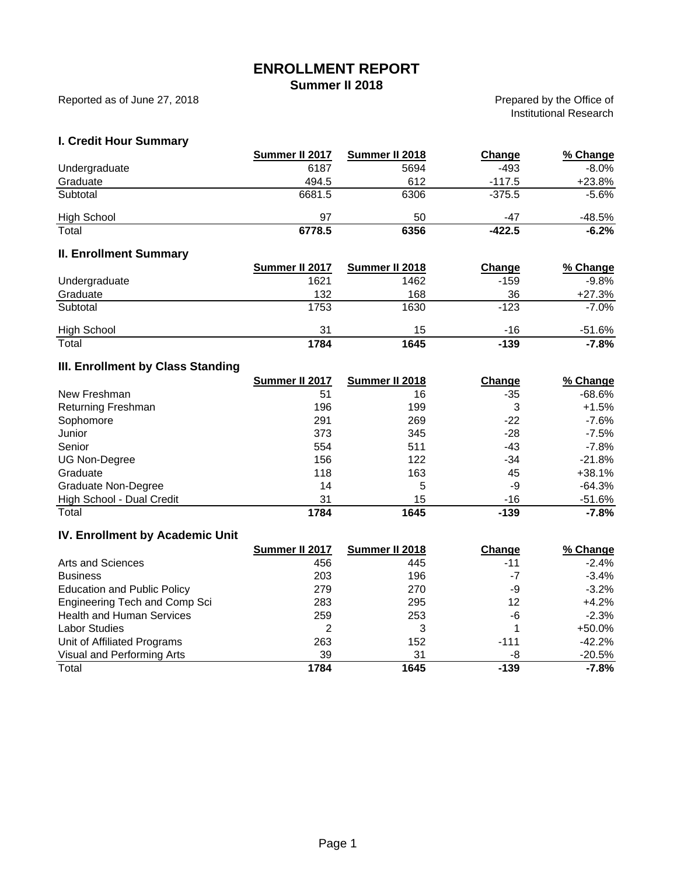# **ENROLLMENT REPORT**

**Summer II 2018**

Reported as of June 27, 2018

Prepared by the Office of Institutional Research

#### **I. Credit Hour Summary**

|                    | Summer II 2017 | Summer II 2018 | Change   | % Change |
|--------------------|----------------|----------------|----------|----------|
| Undergraduate      | 6187           | 5694           | $-493$   | $-8.0\%$ |
| Graduate           | 494.5          | 612            | $-117.5$ | $+23.8%$ |
| Subtotal           | 6681.5         | 6306           | $-375.5$ | -5.6%    |
| <b>High School</b> | 97             | 50             | -47      | -48.5%   |
| Total              | 6778.5         | 6356           | $-422.5$ | $-6.2%$  |

## **II. Enrollment Summary**

|                    | Summer II 2017 | Summer II 2018 | Change | % Change |
|--------------------|----------------|----------------|--------|----------|
| Undergraduate      | 1621           | 1462           | $-159$ | $-9.8%$  |
| Graduate           | 132            | 168            | 36     | $+27.3%$ |
| Subtotal           | 1753           | 1630           | $-123$ | $-7.0\%$ |
| <b>High School</b> | 31             | 15             | -16    | -51.6%   |
| Total              | 1784           | 1645           | $-139$ | $-7.8\%$ |

# **III. Enrollment by Class Standing**

|                           | Summer II 2017 | Summer II 2018 | Change | % Change |
|---------------------------|----------------|----------------|--------|----------|
| New Freshman              | 51             | 16             | -35    | $-68.6%$ |
| <b>Returning Freshman</b> | 196            | 199            | 3      | $+1.5%$  |
| Sophomore                 | 291            | 269            | -22    | $-7.6%$  |
| Junior                    | 373            | 345            | -28    | $-7.5%$  |
| Senior                    | 554            | 511            | -43    | $-7.8%$  |
| UG Non-Degree             | 156            | 122            | -34    | $-21.8%$ |
| Graduate                  | 118            | 163            | 45     | $+38.1%$ |
| Graduate Non-Degree       | 14             | 5              | -9     | $-64.3%$ |
| High School - Dual Credit | 31             | 15             | $-16$  | -51.6%   |
| Total                     | 1784           | 1645           | -139   | $-7.8%$  |

#### **IV. Enrollment by Academic Unit**

|                                    | Summer II 2017 | Summer II 2018 | Change | % Change |
|------------------------------------|----------------|----------------|--------|----------|
| Arts and Sciences                  | 456            | 445            | -11    | $-2.4%$  |
| <b>Business</b>                    | 203            | 196            | -7     | $-3.4%$  |
| <b>Education and Public Policy</b> | 279            | 270            | -9     | $-3.2\%$ |
| Engineering Tech and Comp Sci      | 283            | 295            | 12     | $+4.2%$  |
| <b>Health and Human Services</b>   | 259            | 253            | -6     | $-2.3%$  |
| <b>Labor Studies</b>               | 2              | 3              |        | +50.0%   |
| Unit of Affiliated Programs        | 263            | 152            | $-111$ | $-42.2%$ |
| Visual and Performing Arts         | 39             | 31             | -8     | $-20.5%$ |
| Total                              | 1784           | 1645           | $-139$ | $-7.8%$  |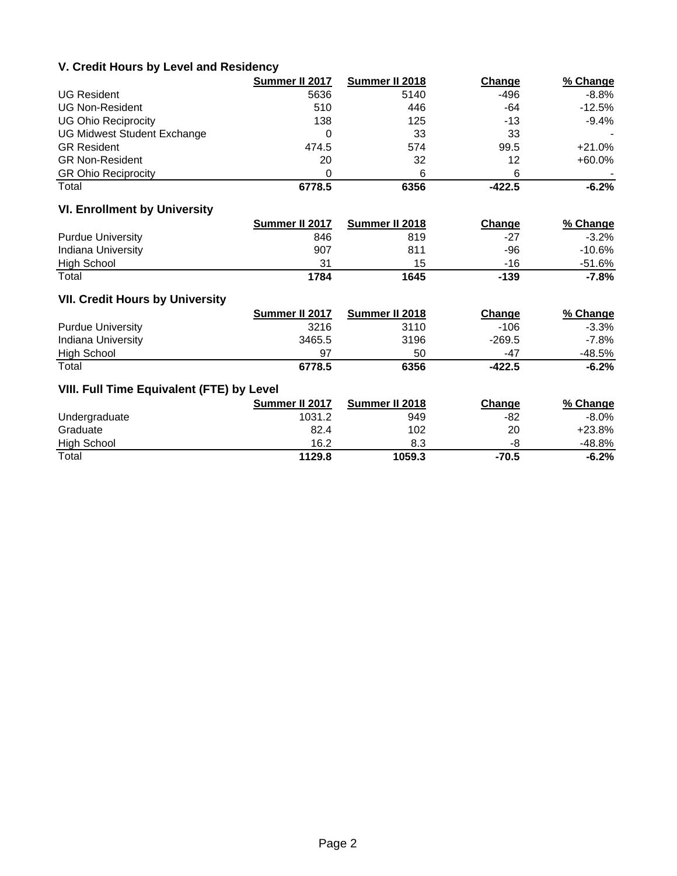#### **V. Credit Hours by Level and Residency**

|                                    | Summer II 2017 | Summer II 2018 | Change   | % Change  |
|------------------------------------|----------------|----------------|----------|-----------|
| <b>UG Resident</b>                 | 5636           | 5140           | -496     | $-8.8\%$  |
| <b>UG Non-Resident</b>             | 510            | 446            | -64      | $-12.5%$  |
| <b>UG Ohio Reciprocity</b>         | 138            | 125            | -13      | $-9.4\%$  |
| <b>UG Midwest Student Exchange</b> |                | 33             | 33       |           |
| <b>GR Resident</b>                 | 474.5          | 574            | 99.5     | +21.0%    |
| <b>GR Non-Resident</b>             | 20             | 32             | 12       | $+60.0\%$ |
| <b>GR Ohio Reciprocity</b>         | 0              | 6              | 6        |           |
| Total                              | 6778.5         | 6356           | $-422.5$ | $-6.2%$   |

## **VI. Enrollment by University**

|                          | Summer II 2017 | Summer II 2018 | Change | % Change |
|--------------------------|----------------|----------------|--------|----------|
| <b>Purdue University</b> | 846            | 819            | -27    | $-3.2\%$ |
| Indiana University       | 907            | 811            | -96    | -10.6%   |
| <b>High School</b>       | 31             | 15             | -16    | -51.6%   |
| Total                    | 1784           | 1645           | -139   | -7.8%    |

#### **VII. Credit Hours by University**

|                          | Summer II 2017 | Summer II 2018 | Change   | % Change |
|--------------------------|----------------|----------------|----------|----------|
| <b>Purdue University</b> | 3216           | 3110           | $-106$   | $-3.3\%$ |
| Indiana University       | 3465.5         | 3196           | -269.5   | -7.8%    |
| <b>High School</b>       | 97             | 50             | -47      | -48.5%   |
| Total                    | 6778.5         | 6356           | $-422.5$ | $-6.2%$  |

## **VIII. Full Time Equivalent (FTE) by Level**

|                    | Summer II 2017 | Summer II 2018 | Change  | % Change |
|--------------------|----------------|----------------|---------|----------|
| Undergraduate      | 1031.2         | 949            | -82     | -8.0%    |
| Graduate           | 82.4           | 102            | 20      | $+23.8%$ |
| <b>High School</b> | 16.2           | 8.3            | -8      | -48.8%   |
| Total              | 1129.8         | 1059.3         | $-70.5$ | $-6.2%$  |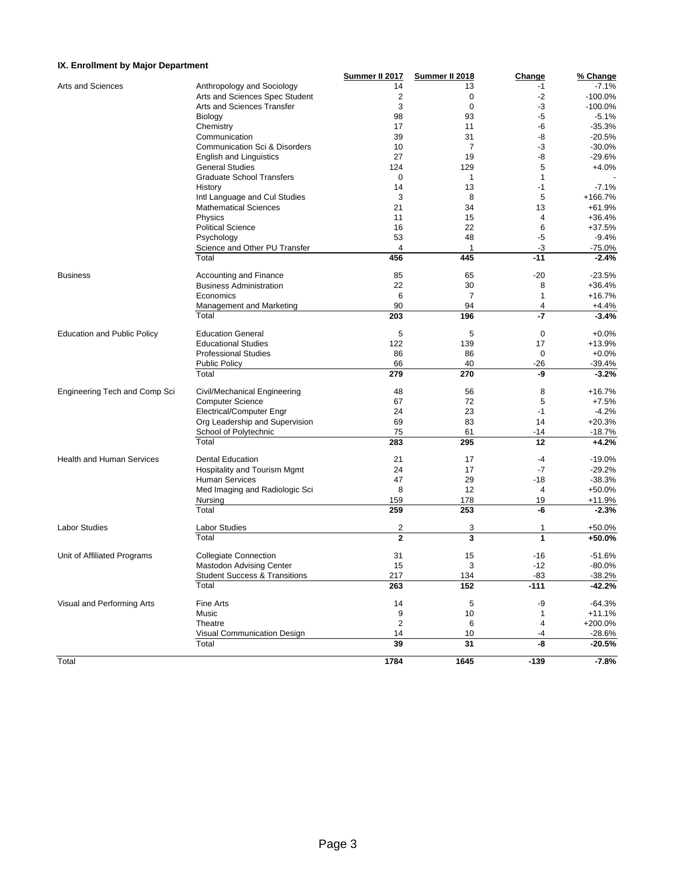#### **IX. Enrollment by Major Department**

| IX. Enrollment by Major Department |                                                         |                |                   |                |                        |
|------------------------------------|---------------------------------------------------------|----------------|-------------------|----------------|------------------------|
|                                    |                                                         | Summer II 2017 | Summer II 2018    | Change         | % Change               |
| Arts and Sciences                  | Anthropology and Sociology                              | 14             | 13                | -1             | $-7.1%$                |
|                                    | Arts and Sciences Spec Student                          | $\overline{2}$ | 0                 | $-2$           | $-100.0%$<br>$-100.0%$ |
|                                    | Arts and Sciences Transfer                              | 3<br>98        | $\mathbf 0$<br>93 | -3<br>-5       | $-5.1%$                |
|                                    | Biology                                                 | 17             | 11                | -6             | $-35.3%$               |
|                                    | Chemistry                                               |                |                   |                |                        |
|                                    | Communication                                           | 39             | 31                | -8             | $-20.5%$               |
|                                    | <b>Communication Sci &amp; Disorders</b>                | 10             | 7                 | $-3$           | $-30.0%$               |
|                                    | <b>English and Linguistics</b>                          | 27             | 19                | -8             | $-29.6%$               |
|                                    | <b>General Studies</b>                                  | 124            | 129               | 5              | $+4.0%$                |
|                                    | <b>Graduate School Transfers</b>                        | $\mathbf 0$    | 1                 | 1              |                        |
|                                    | History                                                 | 14             | 13                | -1             | $-7.1%$                |
|                                    | Intl Language and Cul Studies                           | 3              | 8                 | 5              | +166.7%                |
|                                    | <b>Mathematical Sciences</b>                            | 21             | 34                | 13             | +61.9%                 |
|                                    | Physics                                                 | 11             | 15                | 4              | +36.4%                 |
|                                    | <b>Political Science</b>                                | 16             | 22                | 6              | +37.5%                 |
|                                    | Psychology                                              | 53             | 48                | -5             | $-9.4%$                |
|                                    | Science and Other PU Transfer                           | 4              | $\mathbf{1}$      | -3             | $-75.0%$               |
|                                    | Total                                                   | 456            | 445               | $-11$          | $-2.4%$                |
| <b>Business</b>                    | Accounting and Finance                                  | 85             | 65                | $-20$          | $-23.5%$               |
|                                    | <b>Business Administration</b>                          | 22             | 30                | 8              | +36.4%                 |
|                                    | Economics                                               | 6              | $\overline{7}$    | $\mathbf{1}$   | +16.7%                 |
|                                    | Management and Marketing                                | 90             | 94                | $\overline{4}$ | +4.4%                  |
|                                    | Total                                                   | 203            | 196               | $-7$           | $-3.4%$                |
| <b>Education and Public Policy</b> | <b>Education General</b>                                | 5              | 5                 | 0              | $+0.0%$                |
|                                    | <b>Educational Studies</b>                              | 122            | 139               | 17             | +13.9%                 |
|                                    | <b>Professional Studies</b>                             | 86             | 86                | 0              | $+0.0%$                |
|                                    | <b>Public Policy</b>                                    | 66             | 40                | -26            | $-39.4%$               |
|                                    | Total                                                   | 279            | 270               | -9             | $-3.2%$                |
| Engineering Tech and Comp Sci      | Civil/Mechanical Engineering                            | 48             | 56                | 8              | +16.7%                 |
|                                    | <b>Computer Science</b>                                 | 67             | 72                | 5              | $+7.5%$                |
|                                    | Electrical/Computer Engr                                | 24             | 23                | $-1$           | $-4.2%$                |
|                                    |                                                         | 69             | 83                | 14             | $+20.3%$               |
|                                    | Org Leadership and Supervision<br>School of Polytechnic | 75             | 61                | -14            | $-18.7%$               |
|                                    | Total                                                   | 283            | 295               | 12             | $+4.2%$                |
|                                    |                                                         |                |                   |                |                        |
| <b>Health and Human Services</b>   | <b>Dental Education</b>                                 | 21             | 17                | $-4$           | $-19.0%$               |
|                                    | Hospitality and Tourism Mgmt                            | 24             | 17                | $-7$           | $-29.2%$               |
|                                    | <b>Human Services</b>                                   | 47             | 29                | $-18$          | $-38.3%$               |
|                                    | Med Imaging and Radiologic Sci                          | 8              | 12                | 4              | +50.0%                 |
|                                    | Nursing                                                 | 159            | 178               | 19             | $+11.9%$               |
|                                    | Total                                                   | 259            | 253               | -6             | $-2.3%$                |
| <b>Labor Studies</b>               | Labor Studies                                           | 2              | 3                 | 1              | $+50.0%$               |
|                                    | Total                                                   | $\overline{2}$ | 3                 | 1              | +50.0%                 |
| Unit of Affiliated Programs        | <b>Collegiate Connection</b>                            | 31             | 15                | $-16$          | $-51.6%$               |
|                                    | <b>Mastodon Advising Center</b>                         | 15             | 3                 | $-12$          | $-80.0%$               |
|                                    | <b>Student Success &amp; Transitions</b>                | 217            | 134               | $-83$          | $-38.2%$               |
|                                    | Total                                                   | 263            | 152               | $-111$         | $-42.2%$               |
| Visual and Performing Arts         | Fine Arts                                               | 14             | 5                 | -9             | $-64.3%$               |
|                                    | Music                                                   | 9              | 10                | 1              | $+11.1%$               |
|                                    | Theatre                                                 | $\overline{c}$ | 6                 | 4              | +200.0%                |
|                                    | Visual Communication Design                             | 14             | 10                | -4             | $-28.6%$               |
|                                    | Total                                                   | 39             | 31                | -8             | $-20.5%$               |
| Total                              |                                                         | 1784           | 1645              | $-139$         | $-7.8%$                |